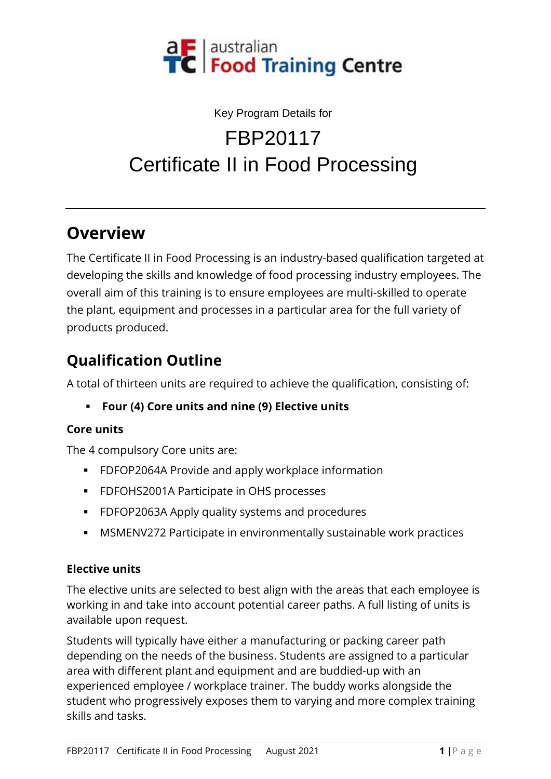

#### Key Program Details for FBP20117

# Certificate II in Food Processing

## **Overview**

The Certificate II in Food Processing is an industry-based qualification targeted at developing the skills and knowledge of food processing industry employees. The overall aim of this training is to ensure employees are multi-skilled to operate the plant, equipment and processes in a particular area for the full variety of products produced.

# **Qualification Outline**

A total of thirteen units are required to achieve the qualification, consisting of:

▪ **Four (4) Core units and nine (9) Elective units**

#### **Core units**

The 4 compulsory Core units are:

- FDFOP2064A Provide and apply workplace information
- **FDFOHS2001A Participate in OHS processes**
- FDFOP2063A Apply quality systems and procedures
- **MSMENV272 Participate in environmentally sustainable work practices**

#### **Elective units**

The elective units are selected to best align with the areas that each employee is working in and take into account potential career paths. A full listing of units is available upon request.

Students will typically have either a manufacturing or packing career path depending on the needs of the business. Students are assigned to a particular area with different plant and equipment and are buddied-up with an experienced employee / workplace trainer. The buddy works alongside the student who progressively exposes them to varying and more complex training skills and tasks.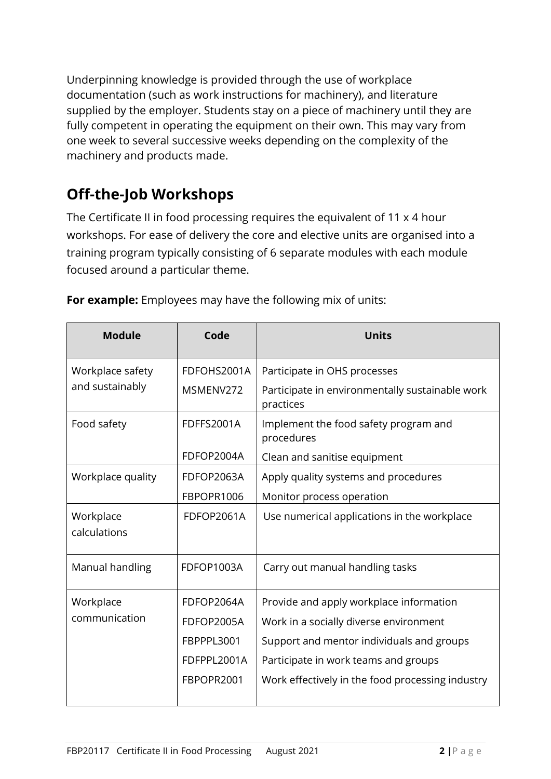Underpinning knowledge is provided through the use of workplace documentation (such as work instructions for machinery), and literature supplied by the employer. Students stay on a piece of machinery until they are fully competent in operating the equipment on their own. This may vary from one week to several successive weeks depending on the complexity of the machinery and products made.

# **Off-the-Job Workshops**

The Certificate II in food processing requires the equivalent of 11 x 4 hour workshops. For ease of delivery the core and elective units are organised into a training program typically consisting of 6 separate modules with each module focused around a particular theme.

| <b>Module</b>                       | Code              | <b>Units</b>                                                 |
|-------------------------------------|-------------------|--------------------------------------------------------------|
| Workplace safety<br>and sustainably | FDFOHS2001A       | Participate in OHS processes                                 |
|                                     | MSMENV272         | Participate in environmentally sustainable work<br>practices |
| Food safety                         | <b>FDFFS2001A</b> | Implement the food safety program and<br>procedures          |
|                                     | FDFOP2004A        | Clean and sanitise equipment                                 |
| Workplace quality                   | FDFOP2063A        | Apply quality systems and procedures                         |
|                                     | FBPOPR1006        | Monitor process operation                                    |
| Workplace<br>calculations           | FDFOP2061A        | Use numerical applications in the workplace                  |
| Manual handling                     | FDFOP1003A        | Carry out manual handling tasks                              |
| Workplace                           | FDFOP2064A        | Provide and apply workplace information                      |
| communication                       | FDFOP2005A        | Work in a socially diverse environment                       |
|                                     | FBPPPL3001        | Support and mentor individuals and groups                    |
|                                     | FDFPPL2001A       | Participate in work teams and groups                         |
|                                     | FBPOPR2001        | Work effectively in the food processing industry             |

**For example:** Employees may have the following mix of units: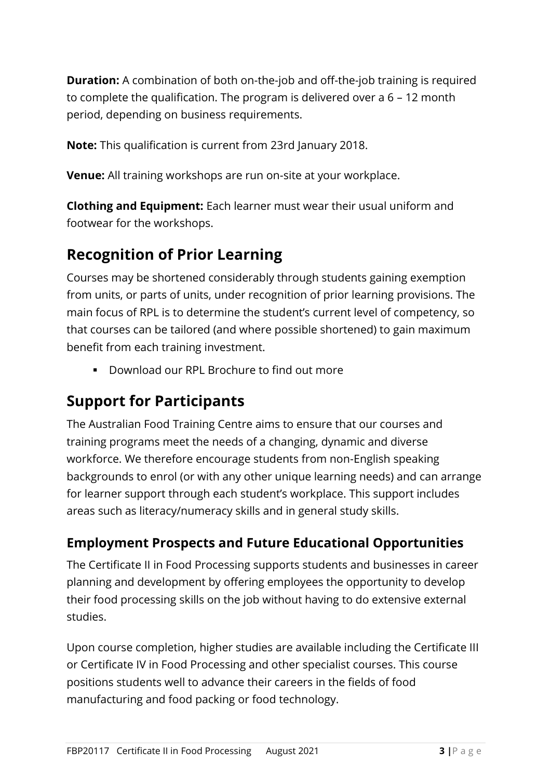**Duration:** A combination of both on-the-job and off-the-job training is required to complete the qualification. The program is delivered over a 6 – 12 month period, depending on business requirements.

**Note:** This qualification is current from 23rd January 2018.

**Venue:** All training workshops are run on-site at your workplace.

**Clothing and Equipment:** Each learner must wear their usual uniform and footwear for the workshops.

### **Recognition of Prior Learning**

Courses may be shortened considerably through students gaining exemption from units, or parts of units, under recognition of prior learning provisions. The main focus of RPL is to determine the student's current level of competency, so that courses can be tailored (and where possible shortened) to gain maximum benefit from each training investment.

▪ Download our RPL Brochure to find out more

### **Support for Participants**

The Australian Food Training Centre aims to ensure that our courses and training programs meet the needs of a changing, dynamic and diverse workforce. We therefore encourage students from non-English speaking backgrounds to enrol (or with any other unique learning needs) and can arrange for learner support through each student's workplace. This support includes areas such as literacy/numeracy skills and in general study skills.

#### **Employment Prospects and Future Educational Opportunities**

The Certificate II in Food Processing supports students and businesses in career planning and development by offering employees the opportunity to develop their food processing skills on the job without having to do extensive external studies.

Upon course completion, higher studies are available including the Certificate III or Certificate IV in Food Processing and other specialist courses. This course positions students well to advance their careers in the fields of food manufacturing and food packing or food technology.